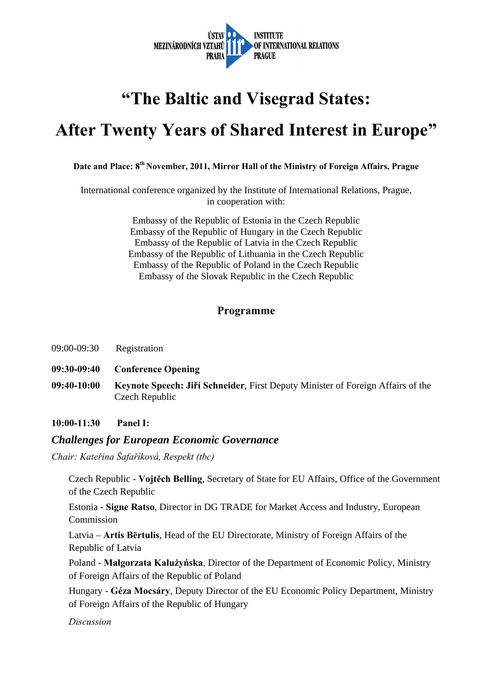

# **"The Baltic and Visegrad States:**

# **After Twenty Years of Shared Interest in Europe"**

## Date and Place: 8<sup>th</sup> November, 2011, Mirror Hall of the Ministry of Foreign Affairs, Prague

International conference organized by the Institute of International Relations, Prague, in cooperation with:

> Embassy of the Republic of Estonia in the Czech Republic Embassy of the Republic of Hungary in the Czech Republic Embassy of the Republic of Latvia in the Czech Republic Embassy of the Republic of Lithuania in the Czech Republic Embassy of the Republic of Poland in the Czech Republic Embassy of the Slovak Republic in the Czech Republic

### **Programme**

- 09:00-09:30 Registration
- **09:30-09:40 Conference Opening**
- **09:40-10:00 Keynote Speech: Jiří Schneider**, First Deputy Minister of Foreign Affairs of the Czech Republic

**10:00-11:30 Panel I:** 

#### *Challenges for European Economic Governance*

*Chair: Kateřina Šafaříková, Respekt (tbc)* 

Czech Republic - **Vojtěch Belling**, Secretary of State for EU Affairs, Office of the Government of the Czech Republic

Estonia - **Signe Ratso**, Director in DG TRADE for Market Access and Industry, European Commission

Latvia – **Artis Bērtulis**, Head of the EU Directorate, Ministry of Foreign Affairs of the Republic of Latvia

Poland - **Małgorzata Kałużyńska**, Director of the Department of Economic Policy, Ministry of Foreign Affairs of the Republic of Poland

Hungary - **Géza Mocsáry**, Deputy Director of the EU Economic Policy Department, Ministry of Foreign Affairs of the Republic of Hungary

*Discussion*